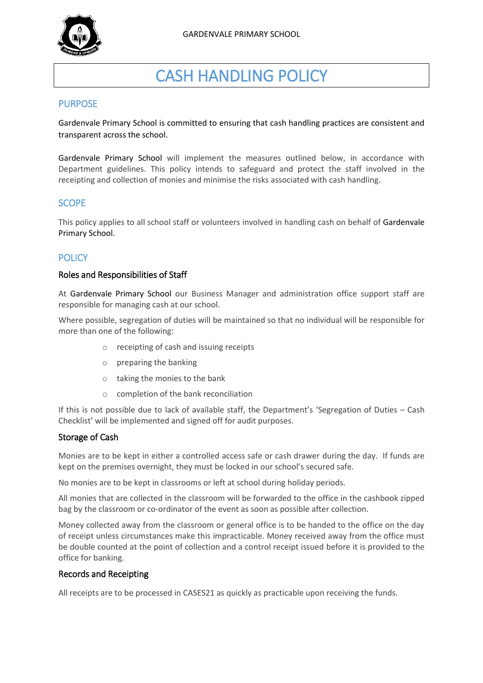

# CASH HANDLING POLICY

## PURPOSE

Gardenvale Primary School is committed to ensuring that cash handling practices are consistent and transparent across the school.

Gardenvale Primary School will implement the measures outlined below, in accordance with Department guidelines. This policy intends to safeguard and protect the staff involved in the receipting and collection of monies and minimise the risks associated with cash handling.

# SCOPE

This policy applies to all school staff or volunteers involved in handling cash on behalf of Gardenvale Primary School.

# **POLICY**

#### Roles and Responsibilities of Staff

At Gardenvale Primary School our Business Manager and administration office support staff are responsible for managing cash at our school.

Where possible, segregation of duties will be maintained so that no individual will be responsible for more than one of the following:

- o receipting of cash and issuing receipts
- o preparing the banking
- o taking the monies to the bank
- o completion of the bank reconciliation

If this is not possible due to lack of available staff, the Department's 'Segregation of Duties – Cash Checklist' will be implemented and signed off for audit purposes.

## Storage of Cash

Monies are to be kept in either a controlled access safe or cash drawer during the day. If funds are kept on the premises overnight, they must be locked in our school's secured safe.

No monies are to be kept in classrooms or left at school during holiday periods.

All monies that are collected in the classroom will be forwarded to the office in the cashbook zipped bag by the classroom or co-ordinator of the event as soon as possible after collection.

Money collected away from the classroom or general office is to be handed to the office on the day of receipt unless circumstances make this impracticable. Money received away from the office must be double counted at the point of collection and a control receipt issued before it is provided to the office for banking.

#### Records and Receipting

All receipts are to be processed in CASES21 as quickly as practicable upon receiving the funds.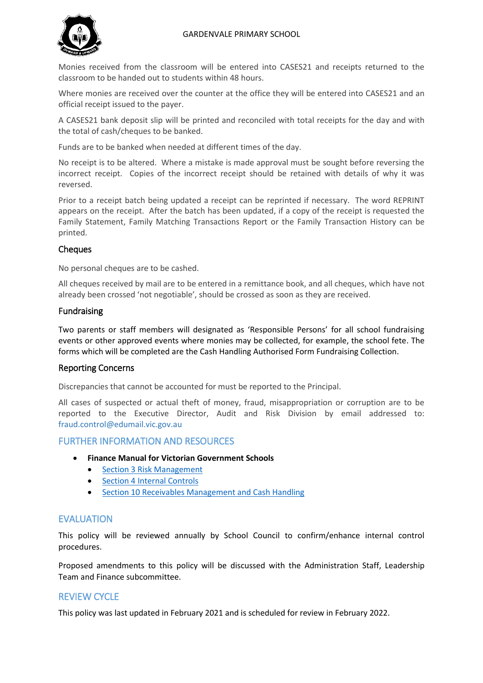#### GARDENVALE PRIMARY SCHOOL



Monies received from the classroom will be entered into CASES21 and receipts returned to the classroom to be handed out to students within 48 hours.

Where monies are received over the counter at the office they will be entered into CASES21 and an official receipt issued to the payer.

A CASES21 bank deposit slip will be printed and reconciled with total receipts for the day and with the total of cash/cheques to be banked.

Funds are to be banked when needed at different times of the day.

No receipt is to be altered. Where a mistake is made approval must be sought before reversing the incorrect receipt. Copies of the incorrect receipt should be retained with details of why it was reversed.

Prior to a receipt batch being updated a receipt can be reprinted if necessary. The word REPRINT appears on the receipt. After the batch has been updated, if a copy of the receipt is requested the Family Statement, Family Matching Transactions Report or the Family Transaction History can be printed.

## **Cheques**

No personal cheques are to be cashed.

All cheques received by mail are to be entered in a remittance book, and all cheques, which have not already been crossed 'not negotiable', should be crossed as soon as they are received.

#### Fundraising

Two parents or staff members will designated as 'Responsible Persons' for all school fundraising events or other approved events where monies may be collected, for example, the school fete. The forms which will be completed are the Cash Handling Authorised Form Fundraising Collection.

#### Reporting Concerns

Discrepancies that cannot be accounted for must be reported to the Principal.

All cases of suspected or actual theft of money, fraud, misappropriation or corruption are to be reported to the Executive Director, Audit and Risk Division by email addressed to: [fraud.control@edumail.vic.gov.au](mailto:fraud.control@edumail.vic.gov.au%0D%20%20%20%20%20%20or)

## FURTHER INFORMATION AND RESOURCES

- **Finance Manual for Victorian Government Schools** 
	- [Section 3 Risk Management](https://www2.education.vic.gov.au/pal/risk-management-finance-manual-section-3/policy)
	- [Section 4 Internal Controls](https://www2.education.vic.gov.au/pal/internal-controls-finance-manual-section-4/policy)
	- [Section 10 Receivables Management and Cash Handling](https://www2.education.vic.gov.au/pal/receivables-management-and-cash-handling-finance-manual-section-10/policy)

# EVALUATION

This policy will be reviewed annually by School Council to confirm/enhance internal control procedures.

Proposed amendments to this policy will be discussed with the Administration Staff, Leadership Team and Finance subcommittee.

# REVIEW CYCLE

This policy was last updated in February 2021 and is scheduled for review in February 2022.